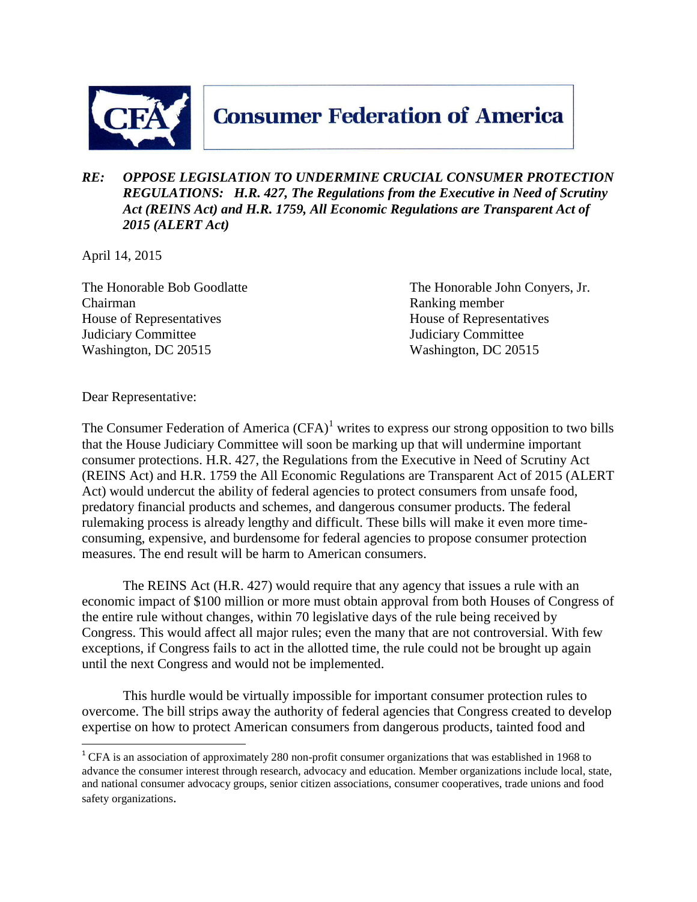

## **Consumer Federation of America**

## *RE: OPPOSE LEGISLATION TO UNDERMINE CRUCIAL CONSUMER PROTECTION REGULATIONS: H.R. 427, The Regulations from the Executive in Need of Scrutiny Act (REINS Act) and H.R. 1759, All Economic Regulations are Transparent Act of 2015 (ALERT Act)*

April 14, 2015

Chairman Ranking member House of Representatives House of Representatives Judiciary Committee Judiciary Committee Washington, DC 20515 Washington, DC 20515

The Honorable Bob Goodlatte The Honorable John Conyers, Jr.

Dear Representative:

 $\overline{a}$ 

The Consumer Federation of America  $(CFA)^1$  writes to express our strong opposition to two bills that the House Judiciary Committee will soon be marking up that will undermine important consumer protections. H.R. 427, the Regulations from the Executive in Need of Scrutiny Act (REINS Act) and H.R. 1759 the All Economic Regulations are Transparent Act of 2015 (ALERT Act) would undercut the ability of federal agencies to protect consumers from unsafe food, predatory financial products and schemes, and dangerous consumer products. The federal rulemaking process is already lengthy and difficult. These bills will make it even more timeconsuming, expensive, and burdensome for federal agencies to propose consumer protection measures. The end result will be harm to American consumers.

The REINS Act (H.R. 427) would require that any agency that issues a rule with an economic impact of \$100 million or more must obtain approval from both Houses of Congress of the entire rule without changes, within 70 legislative days of the rule being received by Congress. This would affect all major rules; even the many that are not controversial. With few exceptions, if Congress fails to act in the allotted time, the rule could not be brought up again until the next Congress and would not be implemented.

This hurdle would be virtually impossible for important consumer protection rules to overcome. The bill strips away the authority of federal agencies that Congress created to develop expertise on how to protect American consumers from dangerous products, tainted food and

<sup>&</sup>lt;sup>1</sup> CFA is an association of approximately 280 non-profit consumer organizations that was established in 1968 to advance the consumer interest through research, advocacy and education. Member organizations include local, state, and national consumer advocacy groups, senior citizen associations, consumer cooperatives, trade unions and food safety organizations.